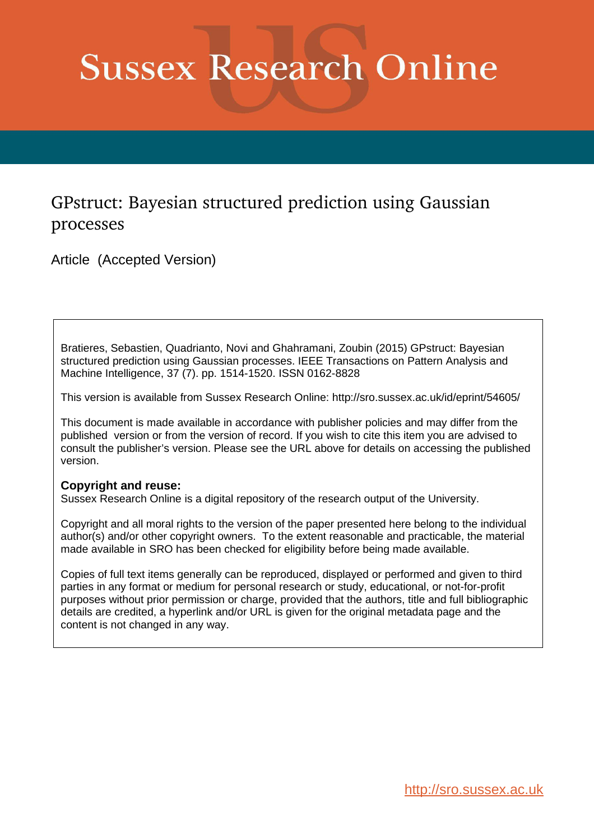# **Sussex Research Online**

### GPstruct: Bayesian structured prediction using Gaussian processes

Article (Accepted Version)

Bratieres, Sebastien, Quadrianto, Novi and Ghahramani, Zoubin (2015) GPstruct: Bayesian structured prediction using Gaussian processes. IEEE Transactions on Pattern Analysis and Machine Intelligence, 37 (7). pp. 1514-1520. ISSN 0162-8828

This version is available from Sussex Research Online: http://sro.sussex.ac.uk/id/eprint/54605/

This document is made available in accordance with publisher policies and may differ from the published version or from the version of record. If you wish to cite this item you are advised to consult the publisher's version. Please see the URL above for details on accessing the published version.

#### **Copyright and reuse:**

Sussex Research Online is a digital repository of the research output of the University.

Copyright and all moral rights to the version of the paper presented here belong to the individual author(s) and/or other copyright owners. To the extent reasonable and practicable, the material made available in SRO has been checked for eligibility before being made available.

Copies of full text items generally can be reproduced, displayed or performed and given to third parties in any format or medium for personal research or study, educational, or not-for-profit purposes without prior permission or charge, provided that the authors, title and full bibliographic details are credited, a hyperlink and/or URL is given for the original metadata page and the content is not changed in any way.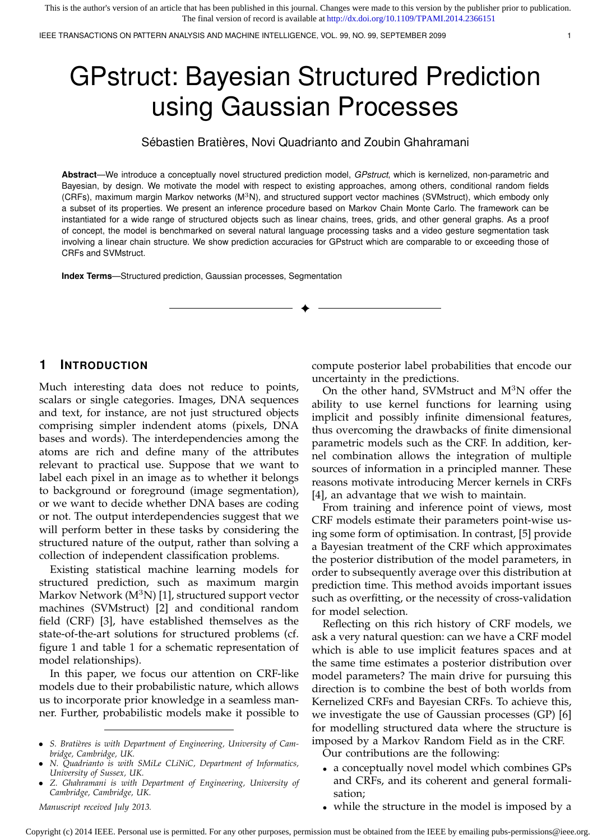IEEE TRANSACTIONS ON PATTERN ANALYSIS AND MACHINE INTELLIGENCE, VOL. 99, NO. 99, SEPTEMBER 2099 1

## GPstruct: Bayesian Structured Prediction using Gaussian Processes

Sébastien Bratières, Novi Quadrianto and Zoubin Ghahramani

**Abstract**—We introduce a conceptually novel structured prediction model, *GPstruct*, which is kernelized, non-parametric and Bayesian, by design. We motivate the model with respect to existing approaches, among others, conditional random fields (CRFs), maximum margin Markov networks (M3N), and structured support vector machines (SVMstruct), which embody only a subset of its properties. We present an inference procedure based on Markov Chain Monte Carlo. The framework can be instantiated for a wide range of structured objects such as linear chains, trees, grids, and other general graphs. As a proof of concept, the model is benchmarked on several natural language processing tasks and a video gesture segmentation task involving a linear chain structure. We show prediction accuracies for GPstruct which are comparable to or exceeding those of CRFs and SVMstruct.

✦

**Index Terms**—Structured prediction, Gaussian processes, Segmentation

#### **1 INTRODUCTION**

Much interesting data does not reduce to points, scalars or single categories. Images, DNA sequences and text, for instance, are not just structured objects comprising simpler indendent atoms (pixels, DNA bases and words). The interdependencies among the atoms are rich and define many of the attributes relevant to practical use. Suppose that we want to label each pixel in an image as to whether it belongs to background or foreground (image segmentation), or we want to decide whether DNA bases are coding or not. The output interdependencies suggest that we will perform better in these tasks by considering the structured nature of the output, rather than solving a collection of independent classification problems.

Existing statistical machine learning models for structured prediction, such as maximum margin Markov Network  $(M^3N)$  [1], structured support vector machines (SVMstruct) [2] and conditional random field (CRF) [3], have established themselves as the state-of-the-art solutions for structured problems (cf. figure 1 and table 1 for a schematic representation of model relationships).

In this paper, we focus our attention on CRF-like models due to their probabilistic nature, which allows us to incorporate prior knowledge in a seamless manner. Further, probabilistic models make it possible to

- S. Bratières is with Department of Engineering, University of Cam*bridge, Cambridge, UK.*
- *N. Quadrianto is with SMiLe CLiNiC, Department of Informatics, University of Sussex, UK.*
- *Z. Ghahramani is with Department of Engineering, University of Cambridge, Cambridge, UK.*

*Manuscript received July 2013.*

compute posterior label probabilities that encode our uncertainty in the predictions.

On the other hand, SVMstruct and  $M<sup>3</sup>N$  offer the ability to use kernel functions for learning using implicit and possibly infinite dimensional features, thus overcoming the drawbacks of finite dimensional parametric models such as the CRF. In addition, kernel combination allows the integration of multiple sources of information in a principled manner. These reasons motivate introducing Mercer kernels in CRFs [4], an advantage that we wish to maintain.

From training and inference point of views, most CRF models estimate their parameters point-wise using some form of optimisation. In contrast, [5] provide a Bayesian treatment of the CRF which approximates the posterior distribution of the model parameters, in order to subsequently average over this distribution at prediction time. This method avoids important issues such as overfitting, or the necessity of cross-validation for model selection.

Reflecting on this rich history of CRF models, we ask a very natural question: can we have a CRF model which is able to use implicit features spaces and at the same time estimates a posterior distribution over model parameters? The main drive for pursuing this direction is to combine the best of both worlds from Kernelized CRFs and Bayesian CRFs. To achieve this, we investigate the use of Gaussian processes (GP) [6] for modelling structured data where the structure is imposed by a Markov Random Field as in the CRF.

Our contributions are the following:

- a conceptually novel model which combines GPs and CRFs, and its coherent and general formalisation;
- while the structure in the model is imposed by a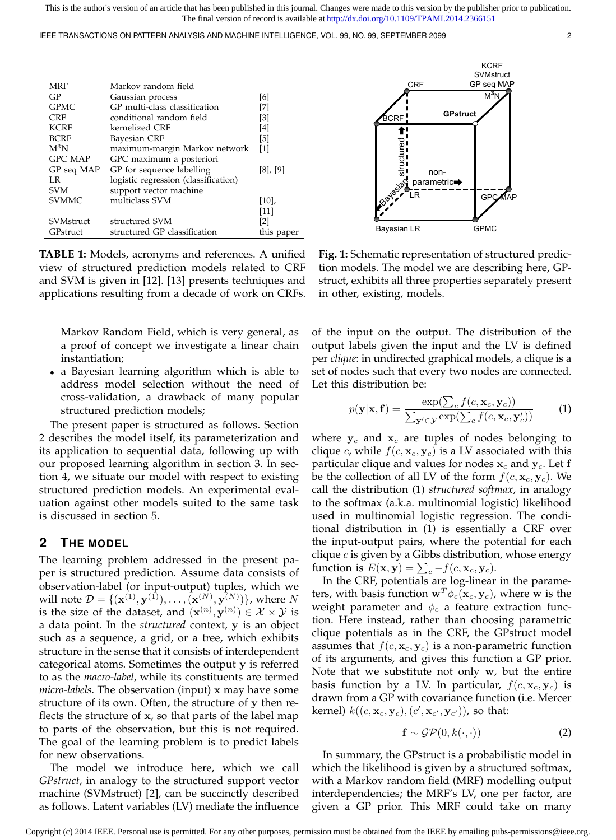IEEE TRANSACTIONS ON PATTERN ANALYSIS AND MACHINE INTELLIGENCE, VOL. 99, NO. 99, SEPTEMBER 2099 2

| [6]                                  |
|--------------------------------------|
| GP multi-class classification<br>[7] |
| [3]                                  |
| [4]                                  |
| [5]                                  |
| [1]<br>maximum-margin Markov network |
| GPC maximum a posteriori             |
| $[8]$ , $[9]$                        |
| logistic regression (classification) |
|                                      |
| [10]                                 |
| $[11]$                               |
| [2]                                  |
| this paper                           |
|                                      |

**TABLE 1:** Models, acronyms and references. A unified view of structured prediction models related to CRF and SVM is given in [12]. [13] presents techniques and applications resulting from a decade of work on CRFs.

Markov Random Field, which is very general, as a proof of concept we investigate a linear chain instantiation;

• a Bayesian learning algorithm which is able to address model selection without the need of cross-validation, a drawback of many popular structured prediction models;

The present paper is structured as follows. Section 2 describes the model itself, its parameterization and its application to sequential data, following up with our proposed learning algorithm in section 3. In section 4, we situate our model with respect to existing structured prediction models. An experimental evaluation against other models suited to the same task is discussed in section 5.

#### **2 THE MODEL**

The learning problem addressed in the present paper is structured prediction. Assume data consists of observation-label (or input-output) tuples, which we will note  $\mathcal{D} = \{(\mathbf{x}^{(1)}, \mathbf{y}^{(1)}), \dots, (\mathbf{x}^{(N)}, \mathbf{y}^{(N)})\}$ , where  $N$ is the size of the dataset, and  $(\mathbf{x}^{(n)}, \mathbf{y}^{(n)}) \in \mathcal{X} \times \mathcal{Y}$  is a data point. In the *structured* context, y is an object such as a sequence, a grid, or a tree, which exhibits structure in the sense that it consists of interdependent categorical atoms. Sometimes the output y is referred to as the *macro-label*, while its constituents are termed *micro-labels*. The observation (input) x may have some structure of its own. Often, the structure of y then reflects the structure of x, so that parts of the label map to parts of the observation, but this is not required. The goal of the learning problem is to predict labels for new observations.

The model we introduce here, which we call *GPstruct*, in analogy to the structured support vector machine (SVMstruct) [2], can be succinctly described as follows. Latent variables (LV) mediate the influence



**Fig. 1:** Schematic representation of structured prediction models. The model we are describing here, GPstruct, exhibits all three properties separately present in other, existing, models.

of the input on the output. The distribution of the output labels given the input and the LV is defined per *clique*: in undirected graphical models, a clique is a set of nodes such that every two nodes are connected. Let this distribution be:

$$
p(\mathbf{y}|\mathbf{x}, \mathbf{f}) = \frac{\exp(\sum_{c} f(c, \mathbf{x}_c, \mathbf{y}_c))}{\sum_{\mathbf{y}' \in \mathcal{Y}} \exp(\sum_{c} f(c, \mathbf{x}_c, \mathbf{y}'_c))}
$$
(1)

where  $y_c$  and  $x_c$  are tuples of nodes belonging to clique c, while  $f(c, \mathbf{x}_c, \mathbf{y}_c)$  is a LV associated with this particular clique and values for nodes  $\mathbf{x}_c$  and  $\mathbf{y}_c$ . Let f be the collection of all LV of the form  $f(c, \mathbf{x}_c, \mathbf{y}_c)$ . We call the distribution (1) *structured softmax*, in analogy to the softmax (a.k.a. multinomial logistic) likelihood used in multinomial logistic regression. The conditional distribution in (1) is essentially a CRF over the input-output pairs, where the potential for each clique  $c$  is given by a Gibbs distribution, whose energy function is  $E(\mathbf{x}, \mathbf{y}) = \sum_{c} -f(c, \mathbf{x}_c, \mathbf{y}_c)$ .

In the CRF, potentials are log-linear in the parameters, with basis function  $\mathbf{w}^T \phi_c(\mathbf{x}_c, \mathbf{y}_c)$ , where w is the weight parameter and  $\phi_c$  a feature extraction function. Here instead, rather than choosing parametric clique potentials as in the CRF, the GPstruct model assumes that  $f(c, \mathbf{x}_c, \mathbf{y}_c)$  is a non-parametric function of its arguments, and gives this function a GP prior. Note that we substitute not only w, but the entire basis function by a LV. In particular,  $f(c, \mathbf{x}_c, \mathbf{y}_c)$  is drawn from a GP with covariance function (i.e. Mercer kernel)  $k((c, \mathbf{x}_c, \mathbf{y}_c), (c', \mathbf{x}_{c'}, \mathbf{y}_{c'}))$ , so that:

$$
\mathbf{f} \sim \mathcal{GP}(0, k(\cdot, \cdot)) \tag{2}
$$

In summary, the GPstruct is a probabilistic model in which the likelihood is given by a structured softmax, with a Markov random field (MRF) modelling output interdependencies; the MRF's LV, one per factor, are given a GP prior. This MRF could take on many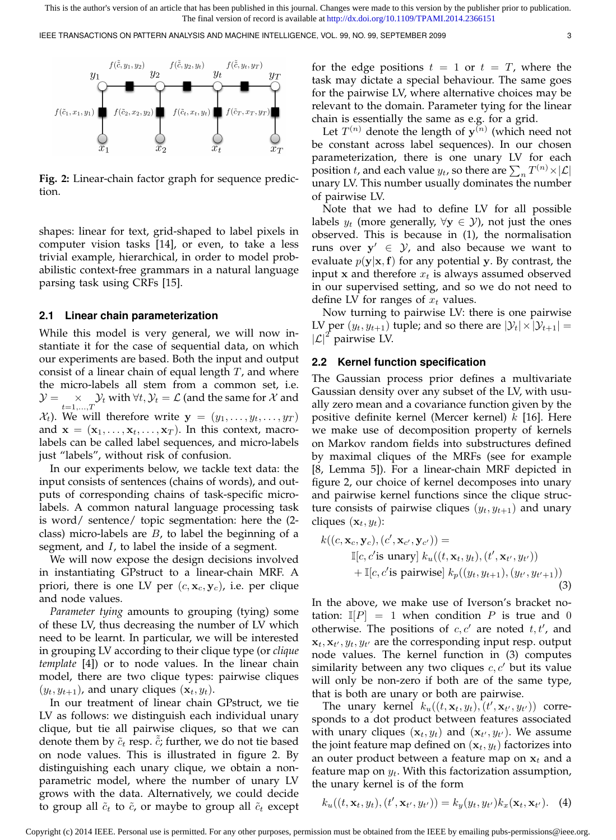IEEE TRANSACTIONS ON PATTERN ANALYSIS AND MACHINE INTELLIGENCE, VOL. 99, NO. 99, SEPTEMBER 2099 3



**Fig. 2:** Linear-chain factor graph for sequence prediction.

shapes: linear for text, grid-shaped to label pixels in computer vision tasks [14], or even, to take a less trivial example, hierarchical, in order to model probabilistic context-free grammars in a natural language parsing task using CRFs [15].

#### **2.1 Linear chain parameterization**

While this model is very general, we will now instantiate it for the case of sequential data, on which our experiments are based. Both the input and output consist of a linear chain of equal length  $T$ , and where the micro-labels all stem from a common set, i.e.  $\mathcal{Y}=\mathop{\times}\limits_{t=1,...,T}\mathcal{Y}_t$  with  $\forall t,\mathcal{Y}_t=\mathcal{L}$  (and the same for  $\mathcal X$  and  $\mathcal{X}_t$ ). We will therefore write  $\mathbf{y} = (y_1, \dots, y_t, \dots, y_T)$ and  $\mathbf{x} = (\mathbf{x}_1, \dots, \mathbf{x}_t, \dots, \mathbf{x}_T)$ . In this context, macrolabels can be called label sequences, and micro-labels just "labels", without risk of confusion.

In our experiments below, we tackle text data: the input consists of sentences (chains of words), and outputs of corresponding chains of task-specific microlabels. A common natural language processing task is word/ sentence/ topic segmentation: here the (2 class) micro-labels are  $B$ , to label the beginning of a segment, and I, to label the inside of a segment.

We will now expose the design decisions involved in instantiating GPstruct to a linear-chain MRF. A priori, there is one LV per  $(c, \mathbf{x}_c, \mathbf{y}_c)$ , i.e. per clique and node values.

*Parameter tying* amounts to grouping (tying) some of these LV, thus decreasing the number of LV which need to be learnt. In particular, we will be interested in grouping LV according to their clique type (or *clique template* [4]) or to node values. In the linear chain model, there are two clique types: pairwise cliques  $(y_t, y_{t+1})$ , and unary cliques  $(\mathbf{x}_t, y_t)$ .

In our treatment of linear chain GPstruct, we tie LV as follows: we distinguish each individual unary clique, but tie all pairwise cliques, so that we can denote them by  $\tilde{c}_t$  resp.  $\tilde{c}_t$ ; further, we do not tie based on node values. This is illustrated in figure 2. By distinguishing each unary clique, we obtain a nonparametric model, where the number of unary LV grows with the data. Alternatively, we could decide to group all  $\tilde{c}_t$  to  $\tilde{c}$ , or maybe to group all  $\tilde{c}_t$  except

for the edge positions  $t = 1$  or  $t = T$ , where the task may dictate a special behaviour. The same goes for the pairwise LV, where alternative choices may be relevant to the domain. Parameter tying for the linear chain is essentially the same as e.g. for a grid.

Let  $T^{(n)}$  denote the length of  $\mathbf{y}^{(n)}$  (which need not be constant across label sequences). In our chosen parameterization, there is one unary LV for each position  $t$ , and each value  $y_t$ , so there are  $\sum_n T^{(n)}\times |\mathcal{L}|$ unary LV. This number usually dominates the number of pairwise LV.

Note that we had to define LV for all possible labels  $y_t$  (more generally,  $\forall y \in \mathcal{Y}$ ), not just the ones observed. This is because in (1), the normalisation runs over  $y' \in Y$ , and also because we want to evaluate  $p(\mathbf{y}|\mathbf{x},\mathbf{f})$  for any potential y. By contrast, the input x and therefore  $x_t$  is always assumed observed in our supervised setting, and so we do not need to define LV for ranges of  $x_t$  values.

Now turning to pairwise LV: there is one pairwise LV per  $(y_t, y_{t+1})$  tuple; and so there are  $|\mathcal{Y}_t| \times |\mathcal{Y}_{t+1}| =$  $|\mathcal{L}|^2$  pairwise LV.

#### **2.2 Kernel function specification**

The Gaussian process prior defines a multivariate Gaussian density over any subset of the LV, with usually zero mean and a covariance function given by the positive definite kernel (Mercer kernel)  $k$  [16]. Here we make use of decomposition property of kernels on Markov random fields into substructures defined by maximal cliques of the MRFs (see for example [8, Lemma 5]). For a linear-chain MRF depicted in figure 2, our choice of kernel decomposes into unary and pairwise kernel functions since the clique structure consists of pairwise cliques  $(y_t, y_{t+1})$  and unary cliques  $(\mathbf{x}_t, y_t)$ :

$$
k((c, \mathbf{x}_c, \mathbf{y}_c), (c', \mathbf{x}_{c'}, \mathbf{y}_{c'})) =
$$
  
\n
$$
\mathbb{I}[c, c' \text{is unary}] k_u((t, \mathbf{x}_t, y_t), (t', \mathbf{x}_{t'}, y_{t'}))
$$
  
\n
$$
+ \mathbb{I}[c, c' \text{is pairwise}] k_p((y_t, y_{t+1}), (y_{t'}, y_{t'+1}))
$$
\n(3)

In the above, we make use of Iverson's bracket notation:  $\mathbb{I}[P] = 1$  when condition P is true and 0 otherwise. The positions of  $c, c'$  are noted  $t, t'$ , and  $\mathbf{x}_t, \mathbf{x}_{t'}, y_t, y_{t'}$  are the corresponding input resp. output node values. The kernel function in (3) computes similarity between any two cliques  $c, c'$  but its value will only be non-zero if both are of the same type, that is both are unary or both are pairwise.

The unary kernel  $k_u((t, \mathbf{x}_t, y_t), (t', \mathbf{x}_{t'}, y_{t'}))$  corresponds to a dot product between features associated with unary cliques  $(\mathbf{x}_t, y_t)$  and  $(\mathbf{x}_{t'}, y_{t'})$ . We assume the joint feature map defined on  $(\mathbf{x}_t, y_t)$  factorizes into an outer product between a feature map on  $\mathbf{x}_t$  and a feature map on  $y_t$ . With this factorization assumption, the unary kernel is of the form

$$
k_u((t, \mathbf{x}_t, y_t), (t', \mathbf{x}_{t'}, y_{t'})) = k_y(y_t, y_{t'}) k_x(\mathbf{x}_t, \mathbf{x}_{t'}).
$$
 (4)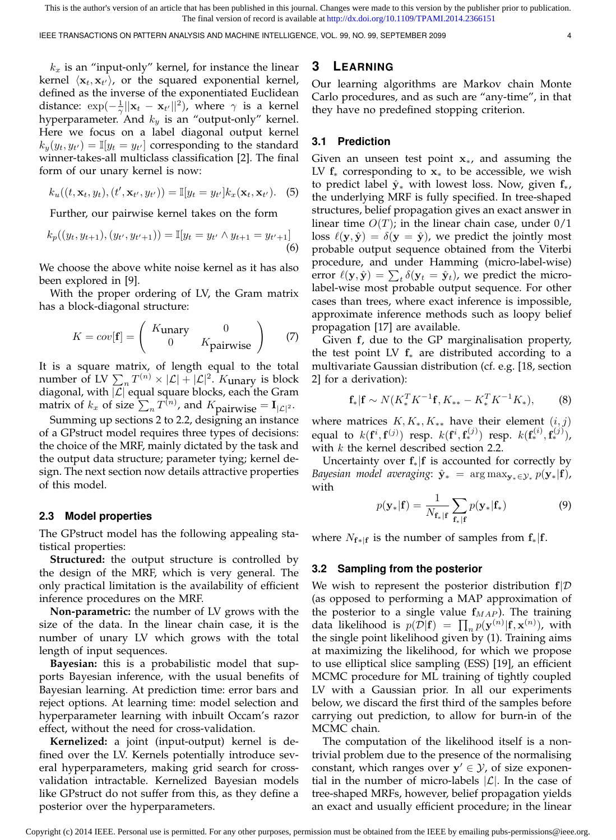IEEE TRANSACTIONS ON PATTERN ANALYSIS AND MACHINE INTELLIGENCE, VOL. 99, NO. 99, SEPTEMBER 2099 4

 $k_x$  is an "input-only" kernel, for instance the linear kernel  $\langle \mathbf{x}_t, \mathbf{x}_{t'} \rangle$ , or the squared exponential kernel, defined as the inverse of the exponentiated Euclidean distance:  $\exp(-\frac{1}{\gamma}||\mathbf{x}_t - \mathbf{x}_{t'}||^2)$ , where  $\gamma$  is a kernel hyperparameter. And  $k_y$  is an "output-only" kernel. Here we focus on a label diagonal output kernel  $k_y(y_t, y_{t'}) = \mathbb{I}[y_t = y_{t'}]$  corresponding to the standard winner-takes-all multiclass classification [2]. The final form of our unary kernel is now:

$$
k_u((t, \mathbf{x}_t, y_t), (t', \mathbf{x}_{t'}, y_{t'})) = \mathbb{I}[y_t = y_{t'}]k_x(\mathbf{x}_t, \mathbf{x}_{t'}).
$$
 (5)

Further, our pairwise kernel takes on the form

$$
k_p((y_t, y_{t+1}), (y_{t'}, y_{t'+1})) = \mathbb{I}[y_t = y_{t'} \land y_{t+1} = y_{t'+1}]
$$
\n(6)

We choose the above white noise kernel as it has also been explored in [9].

With the proper ordering of LV, the Gram matrix has a block-diagonal structure:

$$
K = cov[\mathbf{f}] = \begin{pmatrix} K_{\mathbf{unary}} & 0 \\ 0 & K_{\mathbf{pairwise}} \end{pmatrix} \tag{7}
$$

It is a square matrix, of length equal to the total number of LV  $\sum_n T^{(n)} \times |\mathcal{L}| + |\mathcal{L}|^2$ . Kunary is block diagonal, with  $|\mathcal{L}|$  equal square blocks, each the Gram matrix of  $k_x$  of size  $\sum_n T^{(n)}$ , and  $K_{\text{pairwise}} = \mathbf{I}_{|\mathcal{L}|^2}$ .

Summing up sections 2 to 2.2, designing an instance of a GPstruct model requires three types of decisions: the choice of the MRF, mainly dictated by the task and the output data structure; parameter tying; kernel design. The next section now details attractive properties of this model.

#### **2.3 Model properties**

The GPstruct model has the following appealing statistical properties:

**Structured:** the output structure is controlled by the design of the MRF, which is very general. The only practical limitation is the availability of efficient inference procedures on the MRF.

**Non-parametric:** the number of LV grows with the size of the data. In the linear chain case, it is the number of unary LV which grows with the total length of input sequences.

**Bayesian:** this is a probabilistic model that supports Bayesian inference, with the usual benefits of Bayesian learning. At prediction time: error bars and reject options. At learning time: model selection and hyperparameter learning with inbuilt Occam's razor effect, without the need for cross-validation.

**Kernelized:** a joint (input-output) kernel is defined over the LV. Kernels potentially introduce several hyperparameters, making grid search for crossvalidation intractable. Kernelized Bayesian models like GPstruct do not suffer from this, as they define a posterior over the hyperparameters.

#### **3 LEARNING**

Our learning algorithms are Markov chain Monte Carlo procedures, and as such are "any-time", in that they have no predefined stopping criterion.

#### **3.1 Prediction**

Given an unseen test point  $x_{*}$ , and assuming the LV  $f_*$  corresponding to  $x_*$  to be accessible, we wish to predict label  $\hat{y}_*$  with lowest loss. Now, given  $f_{*}$ , the underlying MRF is fully specified. In tree-shaped structures, belief propagation gives an exact answer in linear time  $O(T)$ ; in the linear chain case, under  $0/1$ loss  $\ell(y, \hat{y}) = \delta(y = \hat{y})$ , we predict the jointly most probable output sequence obtained from the Viterbi procedure, and under Hamming (micro-label-wise) error  $\ell(\mathbf{y}, \hat{\mathbf{y}}) = \sum_t \delta(\mathbf{y}_t = \hat{\mathbf{y}}_t)$ , we predict the microlabel-wise most probable output sequence. For other cases than trees, where exact inference is impossible, approximate inference methods such as loopy belief propagation [17] are available.

Given f, due to the GP marginalisation property, the test point LV  $f_*$  are distributed according to a multivariate Gaussian distribution (cf. e.g. [18, section 2] for a derivation):

$$
\mathbf{f}_{*}|\mathbf{f} \sim N(K_{*}^{T} K^{-1} \mathbf{f}, K_{**} - K_{*}^{T} K^{-1} K_{*}), \tag{8}
$$

where matrices  $K, K_*, K_{**}$  have their element  $(i, j)$ equal to  $k(\mathbf{f}^i, \mathbf{f}^{(j)})$  resp.  $k(\mathbf{f}^i, \mathbf{f}^{(j)}_*)$  resp.  $k(\mathbf{f}^{(i)}_*, \mathbf{f}^{(j)}_*)$ , with  $k$  the kernel described section 2.2.

Uncertainty over  $f_*|f$  is accounted for correctly by *Bayesian model averaging*:  $\hat{\mathbf{y}}_* = \arg \max_{\mathbf{y}_* \in \mathcal{Y}_*} p(\mathbf{y}_*|\mathbf{f}),$ with

$$
p(\mathbf{y}_{*}|\mathbf{f}) = \frac{1}{N_{\mathbf{f}_{*}|\mathbf{f}}} \sum_{\mathbf{f}_{*}|\mathbf{f}} p(\mathbf{y}_{*}|\mathbf{f}_{*})
$$
(9)

where  $N_{\mathbf{f} * | \mathbf{f}}$  is the number of samples from  $\mathbf{f} * | \mathbf{f}$ .

#### **3.2 Sampling from the posterior**

We wish to represent the posterior distribution  $f|\mathcal{D}$ (as opposed to performing a MAP approximation of the posterior to a single value  $f_{MAP}$ ). The training data likelihood is  $p(\mathcal{D}|\mathbf{f}) = \prod_n p(\mathbf{y}^{(n)}|\mathbf{f}, \mathbf{x}^{(n)}),$  with the single point likelihood given by (1). Training aims at maximizing the likelihood, for which we propose to use elliptical slice sampling (ESS) [19], an efficient MCMC procedure for ML training of tightly coupled LV with a Gaussian prior. In all our experiments below, we discard the first third of the samples before carrying out prediction, to allow for burn-in of the MCMC chain.

The computation of the likelihood itself is a nontrivial problem due to the presence of the normalising constant, which ranges over  $y' \in Y$ , of size exponential in the number of micro-labels  $|\mathcal{L}|$ . In the case of tree-shaped MRFs, however, belief propagation yields an exact and usually efficient procedure; in the linear

Copyright (c) 2014 IEEE. Personal use is permitted. For any other purposes, permission must be obtained from the IEEE by emailing pubs-permissions@ieee.org.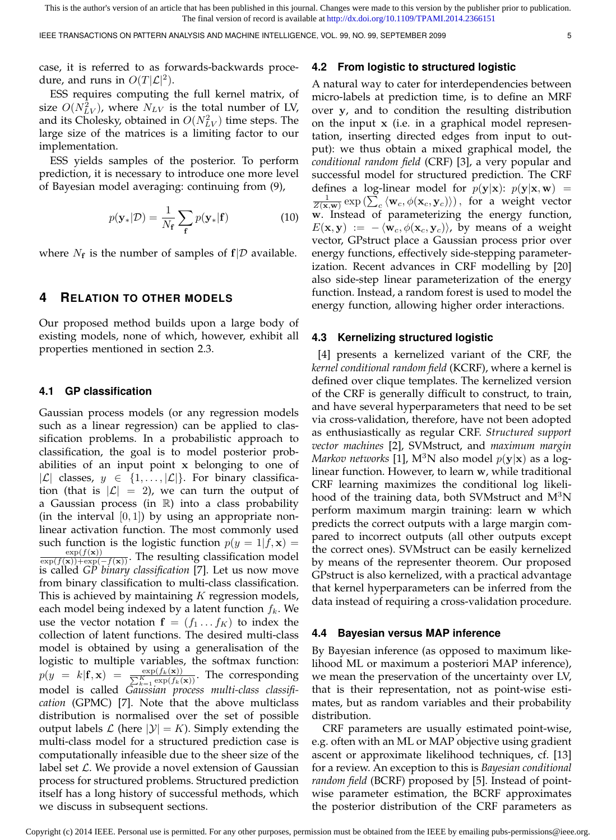IEEE TRANSACTIONS ON PATTERN ANALYSIS AND MACHINE INTELLIGENCE, VOL. 99, NO. 99, SEPTEMBER 2099 5

case, it is referred to as forwards-backwards procedure, and runs in  $O(T|\mathcal{L}|^2)$ .

ESS requires computing the full kernel matrix, of size  $O(N_{LV}^2)$ , where  $N_{LV}$  is the total number of LV, and its Cholesky, obtained in  $O(N_{LV}^2)$  time steps. The large size of the matrices is a limiting factor to our implementation.

ESS yields samples of the posterior. To perform prediction, it is necessary to introduce one more level of Bayesian model averaging: continuing from (9),

$$
p(\mathbf{y}_*|\mathcal{D}) = \frac{1}{N_f} \sum_{\mathbf{f}} p(\mathbf{y}_*|\mathbf{f})
$$
 (10)

where  $N_{\bf f}$  is the number of samples of  ${\bf f}|{\cal D}$  available.

#### **4 RELATION TO OTHER MODELS**

Our proposed method builds upon a large body of existing models, none of which, however, exhibit all properties mentioned in section 2.3.

#### **4.1 GP classification**

Gaussian process models (or any regression models such as a linear regression) can be applied to classification problems. In a probabilistic approach to classification, the goal is to model posterior probabilities of an input point x belonging to one of  $|\mathcal{L}|$  classes,  $y \in \{1, \ldots, |\mathcal{L}|\}$ . For binary classification (that is  $|\mathcal{L}| = 2$ ), we can turn the output of a Gaussian process (in R) into a class probability (in the interval  $[0, 1]$ ) by using an appropriate nonlinear activation function. The most commonly used such function is the logistic function  $p(y = 1 | f, \mathbf{x}) =$  $\frac{\exp(f(\mathbf{x}))}{\exp(f(\mathbf{x}))+\exp(-f(\mathbf{x}))}$ . The resulting classification model  $\exp(f(\mathbf{x})) + \exp(-f(\mathbf{x}))$ . The resulting classification in the risk called *GP binary classification* [7]. Let us now move from binary classification to multi-class classification. This is achieved by maintaining  $K$  regression models, each model being indexed by a latent function  $f_k$ . We use the vector notation  $f = (f_1 \dots f_K)$  to index the collection of latent functions. The desired multi-class model is obtained by using a generalisation of the logistic to multiple variables, the softmax function:  $p(y = k|\mathbf{f}, \mathbf{x}) =$  $\frac{\exp(f_k(\mathbf{x}))}{\sum\limits_{k=1}^{K}\exp(f_k(\mathbf{x}))}$ . The corresponding model is called *Gaussian process multi-class classification* (GPMC) [7]. Note that the above multiclass distribution is normalised over the set of possible output labels  $\mathcal L$  (here  $|\mathcal Y| = K$ ). Simply extending the multi-class model for a structured prediction case is computationally infeasible due to the sheer size of the label set  $\mathcal{L}$ . We provide a novel extension of Gaussian process for structured problems. Structured prediction itself has a long history of successful methods, which we discuss in subsequent sections.

#### **4.2 From logistic to structured logistic**

A natural way to cater for interdependencies between micro-labels at prediction time, is to define an MRF over y, and to condition the resulting distribution on the input x (i.e. in a graphical model representation, inserting directed edges from input to output): we thus obtain a mixed graphical model, the *conditional random field* (CRF) [3], a very popular and successful model for structured prediction. The CRF defines a log-linear model for  $p(\mathbf{y}|\mathbf{x})$ :  $p(\mathbf{y}|\mathbf{x}, \mathbf{w})$  =  $\frac{1}{Z(\mathbf{x},\mathbf{w})}\exp{(\sum_c{\langle \mathbf{w}_c, \phi(\mathbf{x}_c, \mathbf{y}_c)\rangle})}$  , for a weight vector w. Instead of parameterizing the energy function,  $E(\mathbf{x}, \mathbf{y}) := -\langle \mathbf{w}_c, \phi(\mathbf{x}_c, \mathbf{y}_c) \rangle$ , by means of a weight vector, GPstruct place a Gaussian process prior over energy functions, effectively side-stepping parameterization. Recent advances in CRF modelling by [20] also side-step linear parameterization of the energy function. Instead, a random forest is used to model the energy function, allowing higher order interactions.

#### **4.3 Kernelizing structured logistic**

[4] presents a kernelized variant of the CRF, the *kernel conditional random field* (KCRF), where a kernel is defined over clique templates. The kernelized version of the CRF is generally difficult to construct, to train, and have several hyperparameters that need to be set via cross-validation, therefore, have not been adopted as enthusiastically as regular CRF. *Structured support vector machines* [2], SVMstruct, and *maximum margin Markov networks* [1], M<sup>3</sup>N also model  $p(\mathbf{y}|\mathbf{x})$  as a loglinear function. However, to learn w, while traditional CRF learning maximizes the conditional log likelihood of the training data, both SVMstruct and  $M^3N$ perform maximum margin training: learn w which predicts the correct outputs with a large margin compared to incorrect outputs (all other outputs except the correct ones). SVMstruct can be easily kernelized by means of the representer theorem. Our proposed GPstruct is also kernelized, with a practical advantage that kernel hyperparameters can be inferred from the data instead of requiring a cross-validation procedure.

#### **4.4 Bayesian versus MAP inference**

By Bayesian inference (as opposed to maximum likelihood ML or maximum a posteriori MAP inference), we mean the preservation of the uncertainty over LV, that is their representation, not as point-wise estimates, but as random variables and their probability distribution.

CRF parameters are usually estimated point-wise, e.g. often with an ML or MAP objective using gradient ascent or approximate likelihood techniques, cf. [13] for a review. An exception to this is *Bayesian conditional random field* (BCRF) proposed by [5]. Instead of pointwise parameter estimation, the BCRF approximates the posterior distribution of the CRF parameters as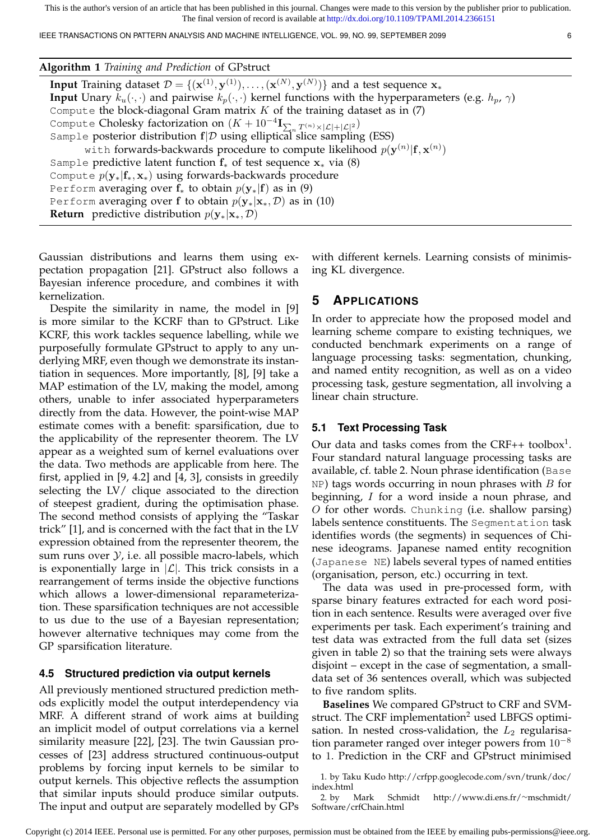IEEE TRANSACTIONS ON PATTERN ANALYSIS AND MACHINE INTELLIGENCE, VOL. 99, NO. 99, SEPTEMBER 2099 6

| Algorithm 1 Training and Prediction of GPstruct |  |  |  |  |  |  |
|-------------------------------------------------|--|--|--|--|--|--|
|-------------------------------------------------|--|--|--|--|--|--|

**Input** Training dataset  $\mathcal{D} = \{(\mathbf{x}^{(1)}, \mathbf{y}^{(1)}), \ldots, (\mathbf{x}^{(N)}, \mathbf{y}^{(N)})\}$  and a test sequence  $\mathbf{x}_*$ **Input** Unary  $k_u(\cdot, \cdot)$  and pairwise  $k_p(\cdot, \cdot)$  kernel functions with the hyperparameters (e.g.  $h_p$ ,  $\gamma$ ) Compute the block-diagonal Gram matrix  $K$  of the training dataset as in  $(7)$ Compute Cholesky factorization on  $(K+10^{-4} \mathbf{I}_{\sum_n T^{(n)} \times |\mathcal{L}| + |\mathcal{L}|^2})$ Sample posterior distribution  $f/\mathcal{D}$  using elliptical slice sampling (ESS) with forwards-backwards procedure to compute likelihood  $p(\mathbf{y}^{(n)}|\mathbf{f},\mathbf{x}^{(n)})$ Sample predictive latent function  $f_*$  of test sequence  $x_*$  via (8) Compute  $p(\mathbf{y}_*|\mathbf{f}_*, \mathbf{x}_*)$  using forwards-backwards procedure Perform averaging over  $f_*$  to obtain  $p(y_*|f)$  as in (9) Perform averaging over f to obtain  $p(\mathbf{y}_*,|\mathbf{x}_*, \mathcal{D})$  as in (10) **Return** predictive distribution  $p(\mathbf{y}|\mathbf{x}_*, \mathcal{D})$ 

Gaussian distributions and learns them using expectation propagation [21]. GPstruct also follows a Bayesian inference procedure, and combines it with kernelization.

Despite the similarity in name, the model in [9] is more similar to the KCRF than to GPstruct. Like KCRF, this work tackles sequence labelling, while we purposefully formulate GPstruct to apply to any underlying MRF, even though we demonstrate its instantiation in sequences. More importantly, [8], [9] take a MAP estimation of the LV, making the model, among others, unable to infer associated hyperparameters directly from the data. However, the point-wise MAP estimate comes with a benefit: sparsification, due to the applicability of the representer theorem. The LV appear as a weighted sum of kernel evaluations over the data. Two methods are applicable from here. The first, applied in [9, 4.2] and [4, 3], consists in greedily selecting the LV/ clique associated to the direction of steepest gradient, during the optimisation phase. The second method consists of applying the "Taskar trick" [1], and is concerned with the fact that in the LV expression obtained from the representer theorem, the sum runs over  $\mathcal{Y}$ , i.e. all possible macro-labels, which is exponentially large in  $|\mathcal{L}|$ . This trick consists in a rearrangement of terms inside the objective functions which allows a lower-dimensional reparameterization. These sparsification techniques are not accessible to us due to the use of a Bayesian representation; however alternative techniques may come from the GP sparsification literature.

#### **4.5 Structured prediction via output kernels**

All previously mentioned structured prediction methods explicitly model the output interdependency via MRF. A different strand of work aims at building an implicit model of output correlations via a kernel similarity measure [22], [23]. The twin Gaussian processes of [23] address structured continuous-output problems by forcing input kernels to be similar to output kernels. This objective reflects the assumption that similar inputs should produce similar outputs. The input and output are separately modelled by GPs with different kernels. Learning consists of minimising KL divergence.

#### **5 APPLICATIONS**

In order to appreciate how the proposed model and learning scheme compare to existing techniques, we conducted benchmark experiments on a range of language processing tasks: segmentation, chunking, and named entity recognition, as well as on a video processing task, gesture segmentation, all involving a linear chain structure.

#### **5.1 Text Processing Task**

Our data and tasks comes from the CRF++ toolbox<sup>1</sup>. Four standard natural language processing tasks are available, cf. table 2. Noun phrase identification (Base  $NP$ ) tags words occurring in noun phrases with  $B$  for beginning, I for a word inside a noun phrase, and O for other words. Chunking (i.e. shallow parsing) labels sentence constituents. The Segmentation task identifies words (the segments) in sequences of Chinese ideograms. Japanese named entity recognition (Japanese NE) labels several types of named entities (organisation, person, etc.) occurring in text.

The data was used in pre-processed form, with sparse binary features extracted for each word position in each sentence. Results were averaged over five experiments per task. Each experiment's training and test data was extracted from the full data set (sizes given in table 2) so that the training sets were always disjoint – except in the case of segmentation, a smalldata set of 36 sentences overall, which was subjected to five random splits.

**Baselines** We compared GPstruct to CRF and SVMstruct. The CRF implementation<sup>2</sup> used LBFGS optimisation. In nested cross-validation, the  $L_2$  regularisation parameter ranged over integer powers from  $10^{-8}$ to 1. Prediction in the CRF and GPstruct minimised

2. by Mark Schmidt http://www.di.ens.fr/∼mschmidt/ Software/crfChain.html

<sup>1.</sup> by Taku Kudo http://crfpp.googlecode.com/svn/trunk/doc/ index.html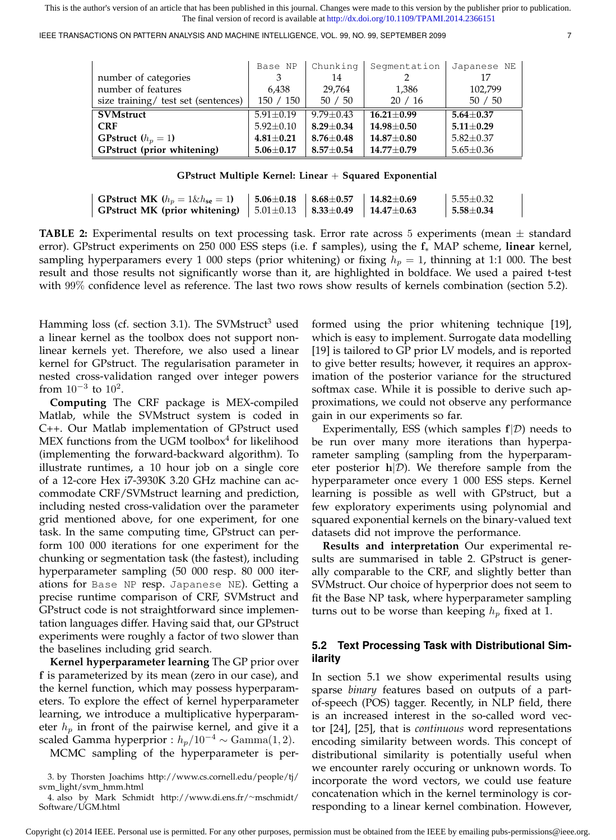IEEE TRANSACTIONS ON PATTERN ANALYSIS AND MACHINE INTELLIGENCE, VOL. 99, NO. 99, SEPTEMBER 2099 7

|                                     | Base NP         | Chunking        | Segmentation     | Japanese NE     |
|-------------------------------------|-----------------|-----------------|------------------|-----------------|
| number of categories                | 3               | 14              |                  | 17              |
| number of features                  | 6.438           | 29.764          | 1,386            | 102,799         |
| size training/ test set (sentences) | 150 / 150       | 50/50           | 20/16            | 50 / 50         |
| <b>SVMstruct</b>                    | $5.91 \pm 0.19$ | $9.79 + 0.43$   | $16.21 + 0.99$   | $5.64 \pm 0.37$ |
| <b>CRF</b>                          | $5.92 \pm 0.10$ | $8.29 \pm 0.34$ | $14.98 \pm 0.50$ | $5.11 \pm 0.29$ |
| <b>GPstruct</b> $(h_p = 1)$         | $4.81 \pm 0.21$ | $8.76 \pm 0.48$ | $14.87 \pm 0.80$ | $5.82 \pm 0.37$ |
| GPstruct (prior whitening)          | $5.06 \pm 0.17$ | $8.57 \pm 0.54$ | $14.77 \pm 0.79$ | $5.65 \pm 0.36$ |

**GPstruct Multiple Kernel: Linear** + **Squared Exponential**

| GPstruct MK ( $h_p = 1 \& h_{se} = 1$ )   5.06±0.18   8.68±0.57   14.82±0.69         |  | $15.55 \pm 0.32$        |
|--------------------------------------------------------------------------------------|--|-------------------------|
| GPstruct MK (prior whitening)   $5.01 \pm 0.13$   $8.33 \pm 0.49$   $14.47 \pm 0.63$ |  | $\vert$ 5.58 $\pm$ 0.34 |

**TABLE 2:** Experimental results on text processing task. Error rate across 5 experiments (mean ± standard error). GPstruct experiments on 250 000 ESS steps (i.e. f samples), using the f<sup>∗</sup> MAP scheme, **linear** kernel, sampling hyperparamers every 1 000 steps (prior whitening) or fixing  $h_p = 1$ , thinning at 1:1 000. The best result and those results not significantly worse than it, are highlighted in boldface. We used a paired t-test with 99% confidence level as reference. The last two rows show results of kernels combination (section 5.2).

Hamming loss (cf. section 3.1). The SVMstruct<sup>3</sup> used a linear kernel as the toolbox does not support nonlinear kernels yet. Therefore, we also used a linear kernel for GPstruct. The regularisation parameter in nested cross-validation ranged over integer powers from  $10^{-3}$  to  $10^2$ .

**Computing** The CRF package is MEX-compiled Matlab, while the SVMstruct system is coded in C++. Our Matlab implementation of GPstruct used  $MEX$  functions from the UGM toolbox $4$  for likelihood (implementing the forward-backward algorithm). To illustrate runtimes, a 10 hour job on a single core of a 12-core Hex i7-3930K 3.20 GHz machine can accommodate CRF/SVMstruct learning and prediction, including nested cross-validation over the parameter grid mentioned above, for one experiment, for one task. In the same computing time, GPstruct can perform 100 000 iterations for one experiment for the chunking or segmentation task (the fastest), including hyperparameter sampling (50 000 resp. 80 000 iterations for Base NP resp. Japanese NE). Getting a precise runtime comparison of CRF, SVMstruct and GPstruct code is not straightforward since implementation languages differ. Having said that, our GPstruct experiments were roughly a factor of two slower than the baselines including grid search.

**Kernel hyperparameter learning** The GP prior over f is parameterized by its mean (zero in our case), and the kernel function, which may possess hyperparameters. To explore the effect of kernel hyperparameter learning, we introduce a multiplicative hyperparameter  $h_p$  in front of the pairwise kernel, and give it a scaled Gamma hyperprior :  $h_p/10^{-4} \sim \text{Gamma}(1, 2)$ .

MCMC sampling of the hyperparameter is per-

4. also by Mark Schmidt http://www.di.ens.fr/∼mschmidt/ Software/UGM.html

formed using the prior whitening technique [19], which is easy to implement. Surrogate data modelling [19] is tailored to GP prior LV models, and is reported to give better results; however, it requires an approximation of the posterior variance for the structured softmax case. While it is possible to derive such approximations, we could not observe any performance gain in our experiments so far.

Experimentally, ESS (which samples  $f(\mathcal{D})$  needs to be run over many more iterations than hyperparameter sampling (sampling from the hyperparameter posterior  $h|\mathcal{D}$ ). We therefore sample from the hyperparameter once every 1 000 ESS steps. Kernel learning is possible as well with GPstruct, but a few exploratory experiments using polynomial and squared exponential kernels on the binary-valued text datasets did not improve the performance.

**Results and interpretation** Our experimental results are summarised in table 2. GPstruct is generally comparable to the CRF, and slightly better than SVMstruct. Our choice of hyperprior does not seem to fit the Base NP task, where hyperparameter sampling turns out to be worse than keeping  $h_p$  fixed at 1.

#### **5.2 Text Processing Task with Distributional Similarity**

In section 5.1 we show experimental results using sparse *binary* features based on outputs of a partof-speech (POS) tagger. Recently, in NLP field, there is an increased interest in the so-called word vector [24], [25], that is *continuous* word representations encoding similarity between words. This concept of distributional similarity is potentially useful when we encounter rarely occuring or unknown words. To incorporate the word vectors, we could use feature concatenation which in the kernel terminology is corresponding to a linear kernel combination. However,

<sup>3.</sup> by Thorsten Joachims http://www.cs.cornell.edu/people/tj/ svm light/svm hmm.html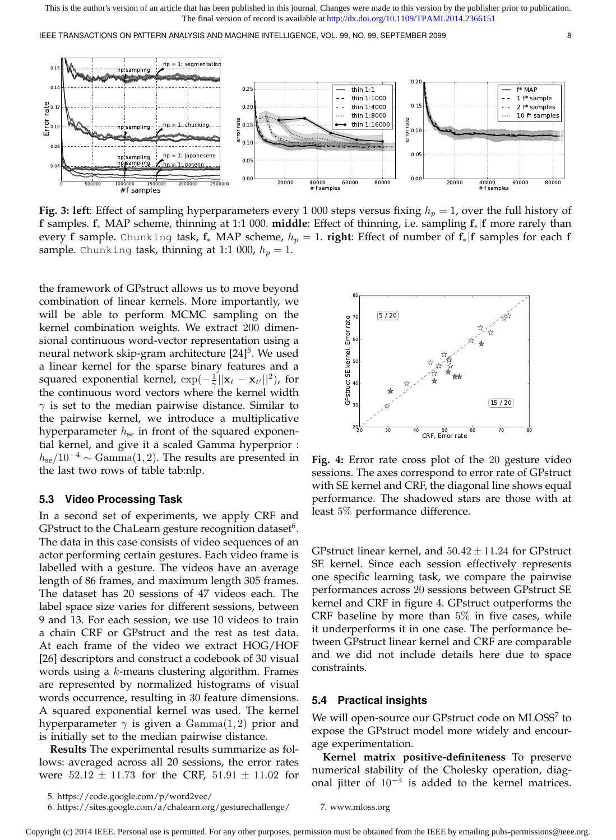IEEE TRANSACTIONS ON PATTERN ANALYSIS AND MACHINE INTELLIGENCE, VOL. 99, NO. 99, SEPTEMBER 2099 8



**Fig. 3: left**: Effect of sampling hyperparameters every 1 000 steps versus fixing  $h_p = 1$ , over the full history of f samples. f<sup>∗</sup> MAP scheme, thinning at 1:1 000. **middle**: Effect of thinning, i.e. sampling f∗|f more rarely than every f sample. Chunking task,  $f_*$  MAP scheme,  $h_p = 1$ . **right**: Effect of number of  $f_*|f$  samples for each f sample. Chunking task, thinning at 1:1 000,  $h_p = 1$ .

the framework of GPstruct allows us to move beyond combination of linear kernels. More importantly, we will be able to perform MCMC sampling on the kernel combination weights. We extract 200 dimensional continuous word-vector representation using a neural network skip-gram architecture [24]<sup>5</sup>. We used a linear kernel for the sparse binary features and a squared exponential kernel,  $\exp(-\frac{1}{\gamma}||\mathbf{x}_t - \mathbf{x}_{t'}||^2)$ , for the continuous word vectors where the kernel width  $\gamma$  is set to the median pairwise distance. Similar to the pairwise kernel, we introduce a multiplicative hyperparameter  $h_{se}$  in front of the squared exponential kernel, and give it a scaled Gamma hyperprior :  $h_{\rm se}/10^{-4} \sim \text{Gamma}(1, 2)$ . The results are presented in the last two rows of table tab:nlp.

#### **5.3 Video Processing Task**

In a second set of experiments, we apply CRF and GPstruct to the ChaLearn gesture recognition dataset $6$ . The data in this case consists of video sequences of an actor performing certain gestures. Each video frame is labelled with a gesture. The videos have an average length of 86 frames, and maximum length 305 frames. The dataset has 20 sessions of 47 videos each. The label space size varies for different sessions, between 9 and 13. For each session, we use 10 videos to train a chain CRF or GPstruct and the rest as test data. At each frame of the video we extract HOG/HOF [26] descriptors and construct a codebook of 30 visual words using a k-means clustering algorithm. Frames are represented by normalized histograms of visual words occurrence, resulting in 30 feature dimensions. A squared exponential kernel was used. The kernel hyperparameter  $\gamma$  is given a Gamma $(1, 2)$  prior and is initially set to the median pairwise distance. propramente *N<sub>as</sub>* in front of the squared exponential Separation and the square of  $\approx$  6. Fig. 4: Berow and set of experiments. The axes of states with SE kernel and CRF, the diagonal line show so f able tabrily. The r

**Results** The experimental results summarize as follows: averaged across all 20 sessions, the error rates were  $52.12 \pm 11.73$  for the CRF,  $51.91 \pm 11.02$  for



**Fig. 4:** Error rate cross plot of the 20 gesture video sessions. The axes correspond to error rate of GPstruct with SE kernel and CRF, the diagonal line shows equal performance. The shadowed stars are those with at least 5% performance difference.

GPstruct linear kernel, and  $50.42 \pm 11.24$  for GPstruct SE kernel. Since each session effectively represents one specific learning task, we compare the pairwise performances across 20 sessions between GPstruct SE kernel and CRF in figure 4. GPstruct outperforms the CRF baseline by more than  $5\%$  in five cases, while it underperforms it in one case. The performance between GPstruct linear kernel and CRF are comparable and we did not include details here due to space constraints.

#### **5.4 Practical insights**

We will open-source our GPstruct code on MLOSS<sup>7</sup> to expose the GPstruct model more widely and encourage experimentation.

**Kernel matrix positive-definiteness** To preserve numerical stability of the Cholesky operation, diagonal jitter of  $10^{-4}$  is added to the kernel matrices.

<sup>5.</sup> https://code.google.com/p/word2vec/